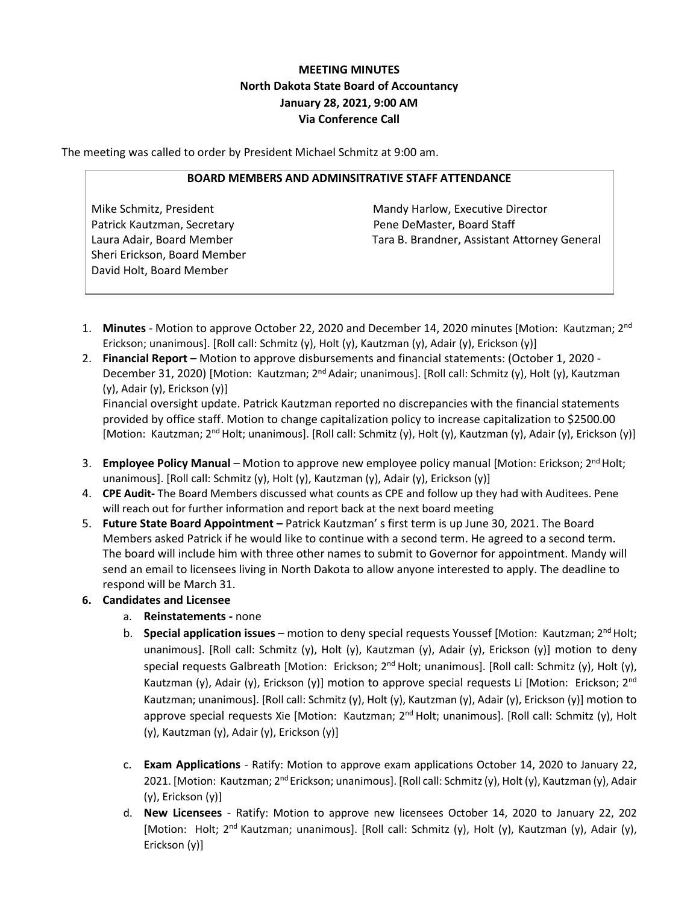# **MEETING MINUTES North Dakota State Board of Accountancy January 28, 2021, 9:00 AM Via Conference Call**

The meeting was called to order by President Michael Schmitz at 9:00 am.

### **BOARD MEMBERS AND ADMINSITRATIVE STAFF ATTENDANCE**

Patrick Kautzman, Secretary **Pene DeMaster, Board Staff** Sheri Erickson, Board Member David Holt, Board Member

Mike Schmitz, President Mandy Harlow, Executive Director Laura Adair, Board Member Tara B. Brandner, Assistant Attorney General

- 1. **Minutes** Motion to approve October 22, 2020 and December 14, 2020 minutes [Motion: Kautzman; 2nd Erickson; unanimous]. [Roll call: Schmitz (y), Holt (y), Kautzman (y), Adair (y), Erickson (y)]
- 2. **Financial Report –** Motion to approve disbursements and financial statements: (October 1, 2020 December 31, 2020) [Motion: Kautzman; 2<sup>nd</sup> Adair; unanimous]. [Roll call: Schmitz (y), Holt (y), Kautzman (y), Adair (y), Erickson (y)] Financial oversight update. Patrick Kautzman reported no discrepancies with the financial statements provided by office staff. Motion to change capitalization policy to increase capitalization to \$2500.00 [Motion: Kautzman; 2<sup>nd</sup> Holt; unanimous]. [Roll call: Schmitz (y), Holt (y), Kautzman (y), Adair (y), Erickson (y)]
- 3. **Employee Policy Manual** Motion to approve new employee policy manual [Motion: Erickson; 2nd Holt; unanimous]. [Roll call: Schmitz (y), Holt (y), Kautzman (y), Adair (y), Erickson (y)]
- 4. **CPE Audit-** The Board Members discussed what counts as CPE and follow up they had with Auditees. Pene will reach out for further information and report back at the next board meeting
- 5. **Future State Board Appointment –** Patrick Kautzman' s first term is up June 30, 2021. The Board Members asked Patrick if he would like to continue with a second term. He agreed to a second term. The board will include him with three other names to submit to Governor for appointment. Mandy will send an email to licensees living in North Dakota to allow anyone interested to apply. The deadline to respond will be March 31.
- **6. Candidates and Licensee**
	- a. **Reinstatements -** none
	- b. **Special application issues** motion to deny special requests Youssef [Motion: Kautzman; 2<sup>nd</sup> Holt; unanimous]. [Roll call: Schmitz (y), Holt (y), Kautzman (y), Adair (y), Erickson (y)] motion to deny special requests Galbreath [Motion: Erickson;  $2<sup>nd</sup>$  Holt; unanimous]. [Roll call: Schmitz (y), Holt (y), Kautzman (y), Adair (y), Erickson (y)] motion to approve special requests Li [Motion: Erickson;  $2^{nd}$ Kautzman; unanimous]. [Roll call: Schmitz (y), Holt (y), Kautzman (y), Adair (y), Erickson (y)] motion to approve special requests Xie [Motion: Kautzman; 2<sup>nd</sup> Holt; unanimous]. [Roll call: Schmitz (y), Holt (y), Kautzman (y), Adair (y), Erickson (y)]
	- c. **Exam Applications** Ratify: Motion to approve exam applications October 14, 2020 to January 22, 2021. [Motion: Kautzman; 2<sup>nd</sup> Erickson; unanimous]. [Roll call: Schmitz (y), Holt (y), Kautzman (y), Adair (y), Erickson (y)]
	- d. **New Licensees** Ratify: Motion to approve new licensees October 14, 2020 to January 22, 202 [Motion: Holt; 2<sup>nd</sup> Kautzman; unanimous]. [Roll call: Schmitz (y), Holt (y), Kautzman (y), Adair (y), Erickson (y)]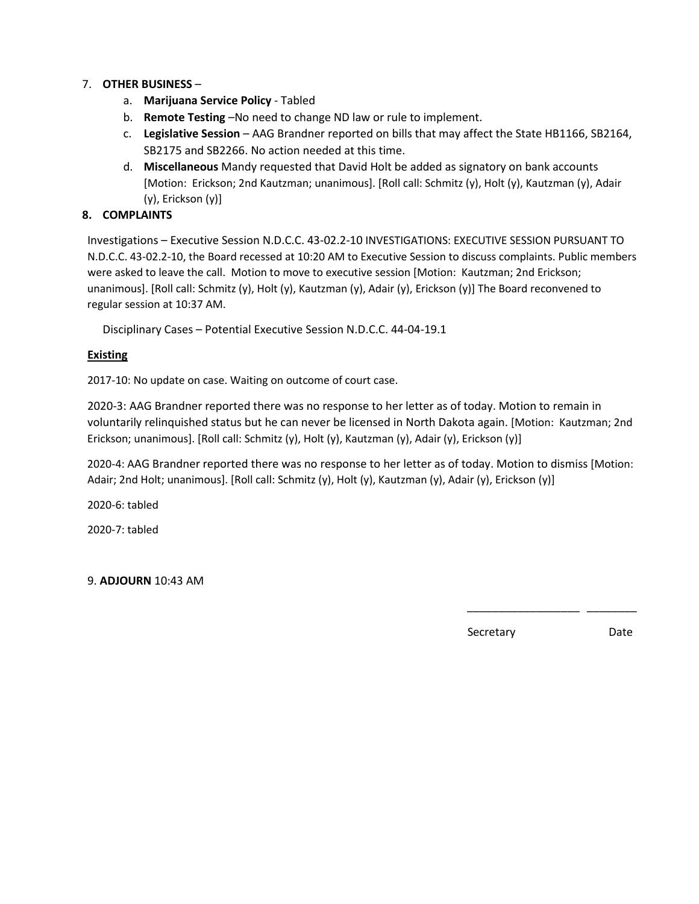## 7. **OTHER BUSINESS** –

- a. **Marijuana Service Policy** Tabled
- b. **Remote Testing** –No need to change ND law or rule to implement.
- c. **Legislative Session** AAG Brandner reported on bills that may affect the State HB1166, SB2164, SB2175 and SB2266. No action needed at this time.
- d. **Miscellaneous** Mandy requested that David Holt be added as signatory on bank accounts [Motion: Erickson; 2nd Kautzman; unanimous]. [Roll call: Schmitz (y), Holt (y), Kautzman (y), Adair (y), Erickson (y)]

## **8. COMPLAINTS**

Investigations – Executive Session N.D.C.C. 43-02.2-10 INVESTIGATIONS: EXECUTIVE SESSION PURSUANT TO N.D.C.C. 43-02.2-10, the Board recessed at 10:20 AM to Executive Session to discuss complaints. Public members were asked to leave the call. Motion to move to executive session [Motion: Kautzman; 2nd Erickson; unanimous]. [Roll call: Schmitz (y), Holt (y), Kautzman (y), Adair (y), Erickson (y)] The Board reconvened to regular session at 10:37 AM.

Disciplinary Cases – Potential Executive Session N.D.C.C. 44-04-19.1

### **Existing**

2017-10: No update on case. Waiting on outcome of court case.

2020-3: AAG Brandner reported there was no response to her letter as of today. Motion to remain in voluntarily relinquished status but he can never be licensed in North Dakota again. [Motion: Kautzman; 2nd Erickson; unanimous]. [Roll call: Schmitz (y), Holt (y), Kautzman (y), Adair (y), Erickson (y)]

2020-4: AAG Brandner reported there was no response to her letter as of today. Motion to dismiss [Motion: Adair; 2nd Holt; unanimous]. [Roll call: Schmitz (y), Holt (y), Kautzman (y), Adair (y), Erickson (y)]

 $\frac{1}{2}$  , and the contract of the contract of the contract of the contract of the contract of the contract of the contract of the contract of the contract of the contract of the contract of the contract of the contract

2020-6: tabled

2020-7: tabled

9. **ADJOURN** 10:43 AM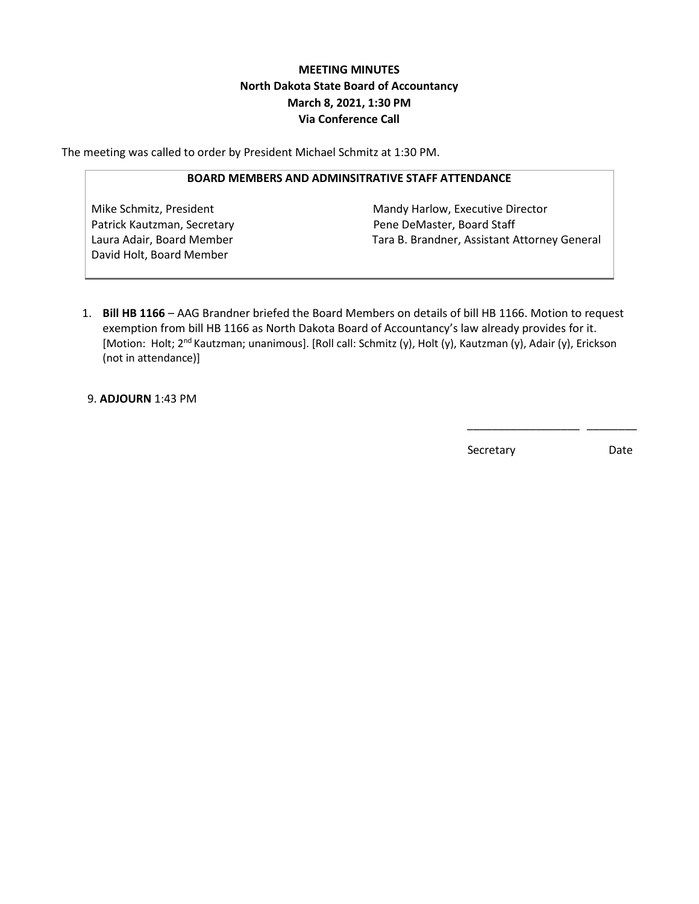# **MEETING MINUTES North Dakota State Board of Accountancy March 8, 2021, 1:30 PM Via Conference Call**

The meeting was called to order by President Michael Schmitz at 1:30 PM.

#### **BOARD MEMBERS AND ADMINSITRATIVE STAFF ATTENDANCE**

David Holt, Board Member

Mike Schmitz, President Mandy Harlow, Executive Director Patrick Kautzman, Secretary **Pene DeMaster, Board Staff** Laura Adair, Board Member Tara B. Brandner, Assistant Attorney General

1. **Bill HB 1166** – AAG Brandner briefed the Board Members on details of bill HB 1166. Motion to request exemption from bill HB 1166 as North Dakota Board of Accountancy's law already provides for it. [Motion: Holt; 2<sup>nd</sup> Kautzman; unanimous]. [Roll call: Schmitz (y), Holt (y), Kautzman (y), Adair (y), Erickson (not in attendance)]

 $\frac{1}{2}$  , and the contract of the contract of the contract of the contract of the contract of the contract of the contract of the contract of the contract of the contract of the contract of the contract of the contract

9. **ADJOURN** 1:43 PM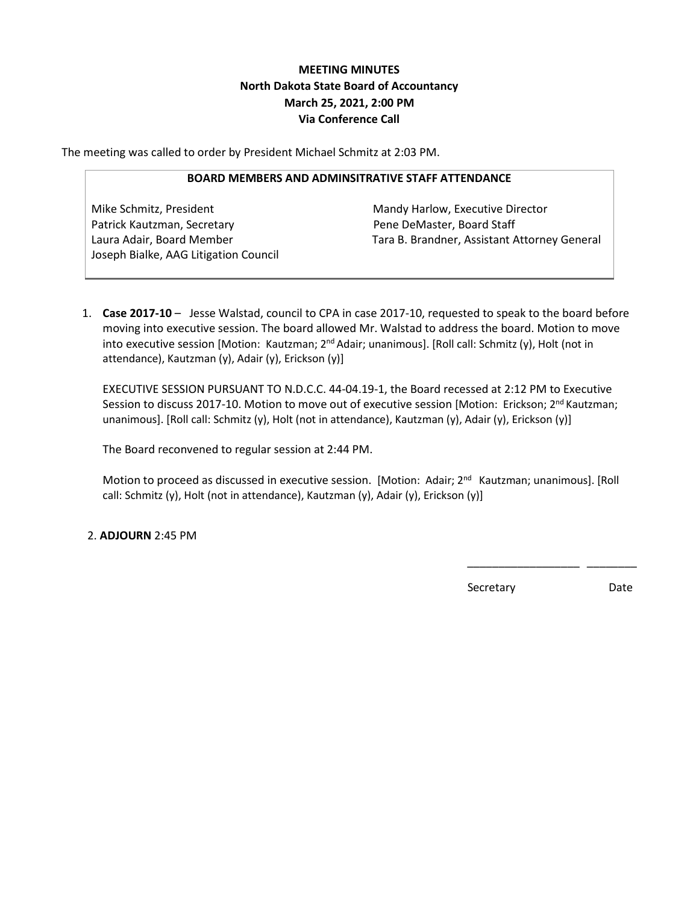# **MEETING MINUTES North Dakota State Board of Accountancy March 25, 2021, 2:00 PM Via Conference Call**

The meeting was called to order by President Michael Schmitz at 2:03 PM.

#### **BOARD MEMBERS AND ADMINSITRATIVE STAFF ATTENDANCE**

Mike Schmitz, President Mandy Harlow, Executive Director Patrick Kautzman, Secretary **Pene DeMaster, Board Staff** Joseph Bialke, AAG Litigation Council

Laura Adair, Board Member Tara B. Brandner, Assistant Attorney General

1. **Case 2017-10** – Jesse Walstad, council to CPA in case 2017-10, requested to speak to the board before moving into executive session. The board allowed Mr. Walstad to address the board. Motion to move into executive session [Motion: Kautzman; 2<sup>nd</sup> Adair; unanimous]. [Roll call: Schmitz (y), Holt (not in attendance), Kautzman (y), Adair (y), Erickson (y)]

EXECUTIVE SESSION PURSUANT TO N.D.C.C. 44-04.19-1, the Board recessed at 2:12 PM to Executive Session to discuss 2017-10. Motion to move out of executive session [Motion: Erickson; 2<sup>nd</sup> Kautzman; unanimous]. [Roll call: Schmitz (y), Holt (not in attendance), Kautzman (y), Adair (y), Erickson (y)]

The Board reconvened to regular session at 2:44 PM.

Motion to proceed as discussed in executive session. [Motion: Adair; 2<sup>nd</sup> Kautzman; unanimous]. [Roll call: Schmitz (y), Holt (not in attendance), Kautzman (y), Adair (y), Erickson (y)]

 $\frac{1}{2}$  , and the contract of the contract of the contract of the contract of the contract of the contract of the contract of the contract of the contract of the contract of the contract of the contract of the contract

2. **ADJOURN** 2:45 PM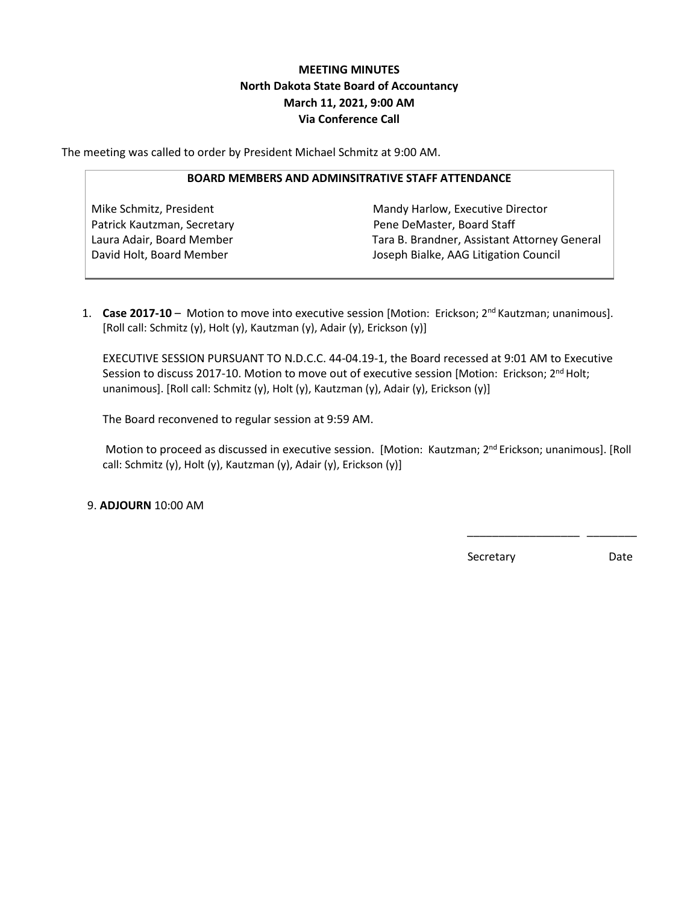# **MEETING MINUTES North Dakota State Board of Accountancy March 11, 2021, 9:00 AM Via Conference Call**

The meeting was called to order by President Michael Schmitz at 9:00 AM.

#### **BOARD MEMBERS AND ADMINSITRATIVE STAFF ATTENDANCE**

Mike Schmitz, President Mandy Harlow, Executive Director Patrick Kautzman, Secretary **Pene DeMaster, Board Staff** Laura Adair, Board Member Tara B. Brandner, Assistant Attorney General David Holt, Board Member **Joseph Bialke, AAG Litigation Council** 

1. **Case 2017-10** – Motion to move into executive session [Motion: Erickson; 2<sup>nd</sup> Kautzman; unanimous]. [Roll call: Schmitz (y), Holt (y), Kautzman (y), Adair (y), Erickson (y)]

EXECUTIVE SESSION PURSUANT TO N.D.C.C. 44-04.19-1, the Board recessed at 9:01 AM to Executive Session to discuss 2017-10. Motion to move out of executive session [Motion: Erickson; 2<sup>nd</sup> Holt; unanimous]. [Roll call: Schmitz (y), Holt (y), Kautzman (y), Adair (y), Erickson (y)]

The Board reconvened to regular session at 9:59 AM.

Motion to proceed as discussed in executive session. [Motion: Kautzman; 2<sup>nd</sup> Erickson; unanimous]. [Roll call: Schmitz (y), Holt (y), Kautzman (y), Adair (y), Erickson (y)]

 $\frac{1}{2}$  , and the contract of the contract of the contract of the contract of the contract of the contract of the contract of the contract of the contract of the contract of the contract of the contract of the contract

9. **ADJOURN** 10:00 AM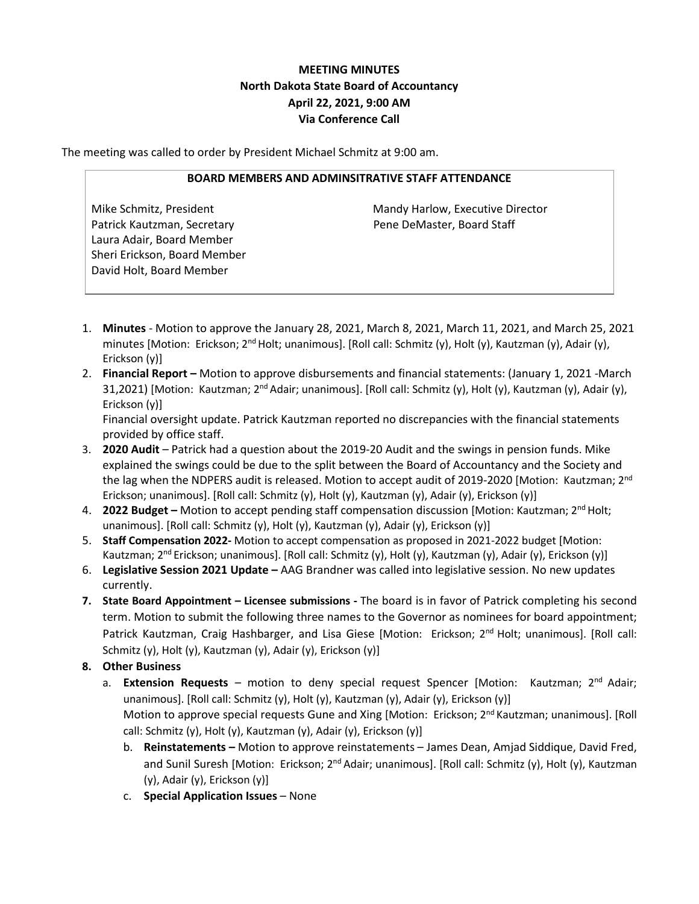# **MEETING MINUTES North Dakota State Board of Accountancy April 22, 2021, 9:00 AM Via Conference Call**

The meeting was called to order by President Michael Schmitz at 9:00 am.

#### **BOARD MEMBERS AND ADMINSITRATIVE STAFF ATTENDANCE**

Patrick Kautzman, Secretary **Pene DeMaster, Board Staff** Laura Adair, Board Member Sheri Erickson, Board Member David Holt, Board Member

Mike Schmitz, President Mandy Harlow, Executive Director

- 1. **Minutes** Motion to approve the January 28, 2021, March 8, 2021, March 11, 2021, and March 25, 2021 minutes [Motion: Erickson; 2<sup>nd</sup> Holt; unanimous]. [Roll call: Schmitz (y), Holt (y), Kautzman (y), Adair (y), Erickson (y)]
- 2. **Financial Report –** Motion to approve disbursements and financial statements: (January 1, 2021 -March 31,2021) [Motion: Kautzman; 2<sup>nd</sup> Adair; unanimous]. [Roll call: Schmitz (y), Holt (y), Kautzman (y), Adair (y), Erickson (y)]

Financial oversight update. Patrick Kautzman reported no discrepancies with the financial statements provided by office staff.

- 3. **2020 Audit** Patrick had a question about the 2019-20 Audit and the swings in pension funds. Mike explained the swings could be due to the split between the Board of Accountancy and the Society and the lag when the NDPERS audit is released. Motion to accept audit of 2019-2020 [Motion: Kautzman; 2<sup>nd</sup> Erickson; unanimous]. [Roll call: Schmitz (y), Holt (y), Kautzman (y), Adair (y), Erickson (y)]
- 4. **2022 Budget –** Motion to accept pending staff compensation discussion [Motion: Kautzman; 2nd Holt; unanimous]. [Roll call: Schmitz (y), Holt (y), Kautzman (y), Adair (y), Erickson (y)]
- 5. **Staff Compensation 2022-** Motion to accept compensation as proposed in 2021-2022 budget [Motion: Kautzman; 2<sup>nd</sup> Erickson; unanimous]. [Roll call: Schmitz (y), Holt (y), Kautzman (y), Adair (y), Erickson (y)]
- 6. **Legislative Session 2021 Update –** AAG Brandner was called into legislative session. No new updates currently.
- **7. State Board Appointment – Licensee submissions -** The board is in favor of Patrick completing his second term. Motion to submit the following three names to the Governor as nominees for board appointment; Patrick Kautzman, Craig Hashbarger, and Lisa Giese [Motion: Erickson; 2<sup>nd</sup> Holt; unanimous]. [Roll call: Schmitz (y), Holt (y), Kautzman (y), Adair (y), Erickson (y)]
- **8. Other Business**
	- a. **Extension Requests** motion to deny special request Spencer [Motion: Kautzman; 2nd Adair; unanimous]. [Roll call: Schmitz (y), Holt (y), Kautzman (y), Adair (y), Erickson (y)] Motion to approve special requests Gune and Xing [Motion: Erickson; 2<sup>nd</sup> Kautzman; unanimous]. [Roll call: Schmitz (y), Holt (y), Kautzman (y), Adair (y), Erickson (y)]
		- b. **Reinstatements –** Motion to approve reinstatements James Dean, Amjad Siddique, David Fred, and Sunil Suresh [Motion: Erickson; 2<sup>nd</sup> Adair; unanimous]. [Roll call: Schmitz (y), Holt (y), Kautzman (y), Adair (y), Erickson (y)]
		- c. **Special Application Issues** None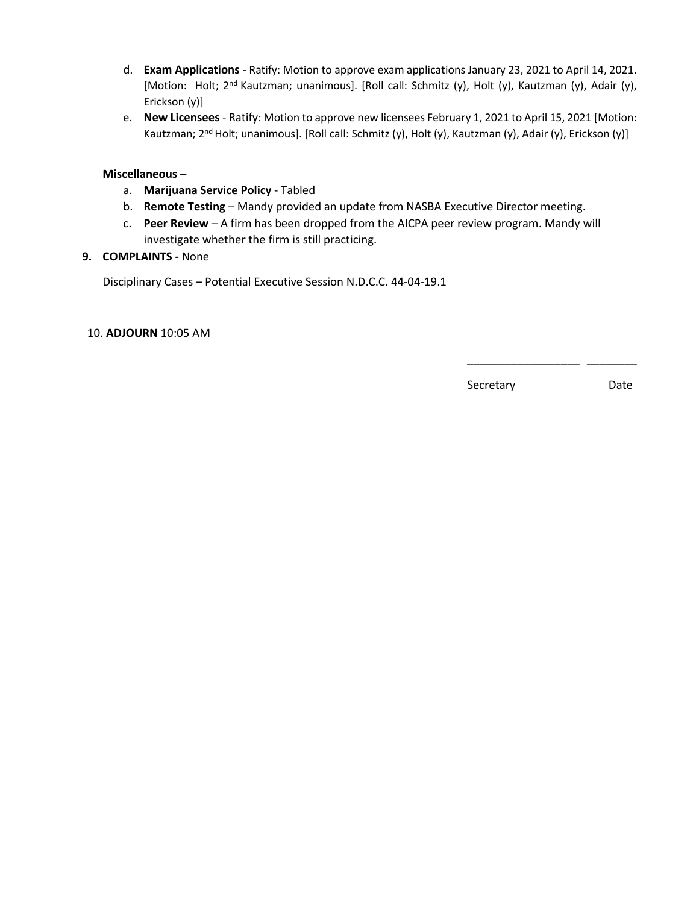- d. **Exam Applications** Ratify: Motion to approve exam applications January 23, 2021 to April 14, 2021. [Motion: Holt; 2<sup>nd</sup> Kautzman; unanimous]. [Roll call: Schmitz (y), Holt (y), Kautzman (y), Adair (y), Erickson (y)]
- e. **New Licensees** Ratify: Motion to approve new licensees February 1, 2021 to April 15, 2021 [Motion: Kautzman; 2<sup>nd</sup> Holt; unanimous]. [Roll call: Schmitz (y), Holt (y), Kautzman (y), Adair (y), Erickson (y)]

### **Miscellaneous** –

- a. **Marijuana Service Policy** Tabled
- b. **Remote Testing** Mandy provided an update from NASBA Executive Director meeting.
- c. **Peer Review** A firm has been dropped from the AICPA peer review program. Mandy will investigate whether the firm is still practicing.

 $\frac{1}{2}$  , and the contract of the contract of the contract of the contract of the contract of the contract of the contract of the contract of the contract of the contract of the contract of the contract of the contract

### **9. COMPLAINTS -** None

Disciplinary Cases – Potential Executive Session N.D.C.C. 44-04-19.1

#### 10. **ADJOURN** 10:05 AM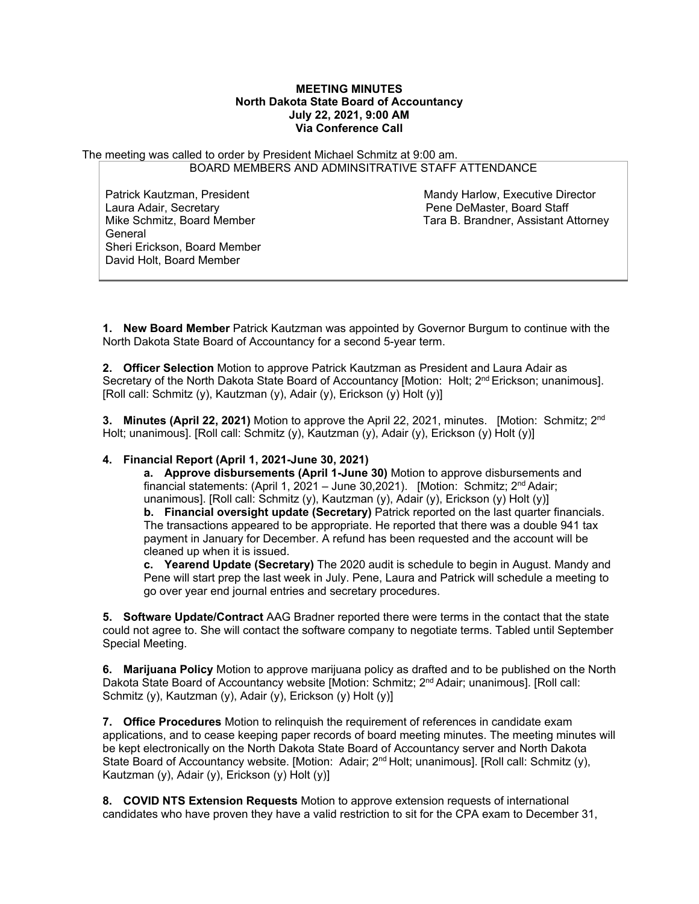#### **MEETING MINUTES North Dakota State Board of Accountancy July 22, 2021, 9:00 AM Via Conference Call**

The meeting was called to order by President Michael Schmitz at 9:00 am. BOARD MEMBERS AND ADMINSITRATIVE STAFF ATTENDANCE

Laura Adair, Secretary Pene DeMaster, Board Staff General Sheri Erickson, Board Member David Holt, Board Member

Patrick Kautzman, President Mandy Harlow, Executive Director<br>
Laura Adair, Secretary Mandy Hene De De De De Deaster, Board Staff Tara B. Brandner, Assistant Attorney

**1. New Board Member** Patrick Kautzman was appointed by Governor Burgum to continue with the North Dakota State Board of Accountancy for a second 5-year term.

**2. Officer Selection** Motion to approve Patrick Kautzman as President and Laura Adair as Secretary of the North Dakota State Board of Accountancy [Motion: Holt; 2<sup>nd</sup> Erickson; unanimous]. [Roll call: Schmitz (y), Kautzman (y), Adair (y), Erickson (y) Holt (y)]

**3. Minutes (April 22, 2021)** Motion to approve the April 22, 2021, minutes.[Motion: Schmitz; 2nd Holt; unanimous]. [Roll call: Schmitz (y), Kautzman (y), Adair (y), Erickson (y) Holt (y)]

### **4. Financial Report (April 1, 2021-June 30, 2021)**

**a. Approve disbursements (April 1-June 30)** Motion to approve disbursements and financial statements: (April 1, 2021 – June 30,2021).[Motion: Schmitz; 2nd Adair; unanimous]. [Roll call: Schmitz (y), Kautzman (y), Adair (y), Erickson (y) Holt (y)] **b.** Financial oversight update (Secretary) Patrick reported on the last quarter financials. The transactions appeared to be appropriate. He reported that there was a double 941 tax payment in January for December. A refund has been requested and the account will be cleaned up when it is issued.

**c. Yearend Update (Secretary)** The 2020 audit is schedule to begin in August. Mandy and Pene will start prep the last week in July. Pene, Laura and Patrick will schedule a meeting to go over year end journal entries and secretary procedures.

**5. Software Update/Contract** AAG Bradner reported there were terms in the contact that the state could not agree to. She will contact the software company to negotiate terms. Tabled until September Special Meeting.

**6. Marijuana Policy** Motion to approve marijuana policy as drafted and to be published on the North Dakota State Board of Accountancy website [Motion: Schmitz; 2<sup>nd</sup> Adair; unanimous]. [Roll call: Schmitz (y), Kautzman (y), Adair (y), Erickson (y) Holt (y)]

**7. Office Procedures** Motion to relinquish the requirement of references in candidate exam applications, and to cease keeping paper records of board meeting minutes. The meeting minutes will be kept electronically on the North Dakota State Board of Accountancy server and North Dakota State Board of Accountancy website. [Motion: Adair; 2<sup>nd</sup> Holt; unanimous]. [Roll call: Schmitz (y), Kautzman (y), Adair (y), Erickson (y) Holt (y)]

**8. COVID NTS Extension Requests** Motion to approve extension requests of international candidates who have proven they have a valid restriction to sit for the CPA exam to December 31,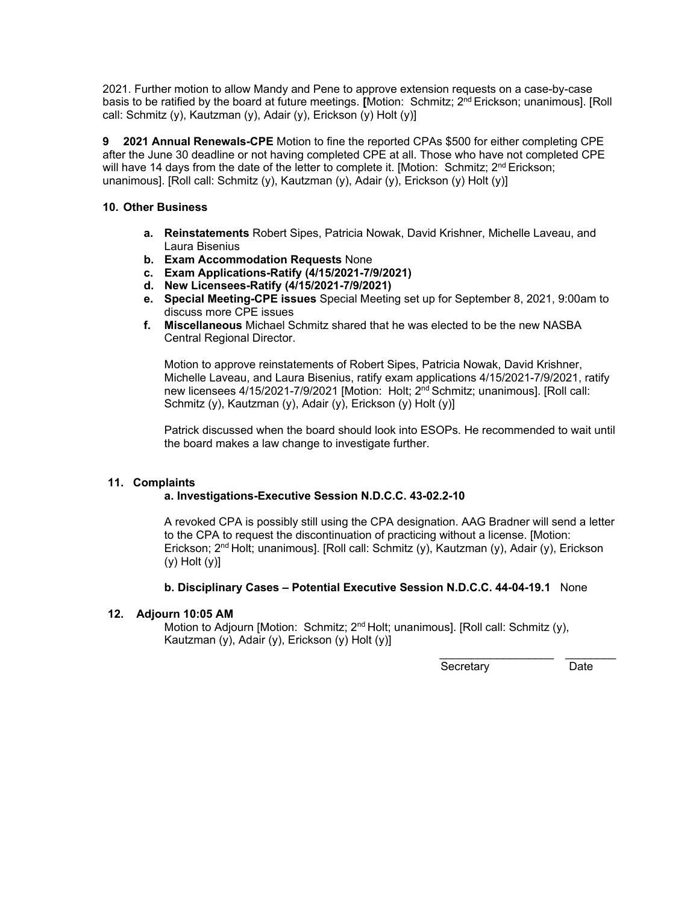2021. Further motion to allow Mandy and Pene to approve extension requests on a case-by-case basis to be ratified by the board at future meetings. **[**Motion: Schmitz; 2nd Erickson; unanimous]. [Roll call: Schmitz (y), Kautzman (y), Adair (y), Erickson (y) Holt (y)]

**9 2021 Annual Renewals-CPE** Motion to fine the reported CPAs \$500 for either completing CPE after the June 30 deadline or not having completed CPE at all. Those who have not completed CPE will have 14 days from the date of the letter to complete it. [Motion: Schmitz;  $2<sup>nd</sup> Erickson;$ unanimous]. [Roll call: Schmitz (y), Kautzman (y), Adair (y), Erickson (y) Holt (y)]

### **10. Other Business**

- **a. Reinstatements** Robert Sipes, Patricia Nowak, David Krishner, Michelle Laveau, and Laura Bisenius
- **b. Exam Accommodation Requests** None
- **c. Exam Applications-Ratify (4/15/2021-7/9/2021)**
- **d. New Licensees-Ratify (4/15/2021-7/9/2021)**
- **e. Special Meeting-CPE issues** Special Meeting set up for September 8, 2021, 9:00am to discuss more CPE issues
- **f. Miscellaneous** Michael Schmitz shared that he was elected to be the new NASBA Central Regional Director.

Motion to approve reinstatements of Robert Sipes, Patricia Nowak, David Krishner, Michelle Laveau, and Laura Bisenius, ratify exam applications 4/15/2021-7/9/2021, ratify new licensees 4/15/2021-7/9/2021 [Motion: Holt; 2<sup>nd</sup> Schmitz; unanimous]. [Roll call: Schmitz (y), Kautzman (y), Adair (y), Erickson (y) Holt (y)]

Patrick discussed when the board should look into ESOPs. He recommended to wait until the board makes a law change to investigate further.

### **11. Complaints**

### **a. Investigations-Executive Session N.D.C.C. 43-02.2-10**

A revoked CPA is possibly still using the CPA designation. AAG Bradner will send a letter to the CPA to request the discontinuation of practicing without a license. [Motion: Erickson; 2<sup>nd</sup> Holt; unanimous]. [Roll call: Schmitz (y), Kautzman (y), Adair (y), Erickson  $(y)$  Holt  $(y)$ ]

### **b. Disciplinary Cases – Potential Executive Session N.D.C.C. 44-04-19.1** None

### **12. Adjourn 10:05 AM**

Motion to Adjourn [Motion: Schmitz; 2<sup>nd</sup> Holt; unanimous]. [Roll call: Schmitz (y), Kautzman (y), Adair (y), Erickson (y) Holt (y)]

Secretary Date